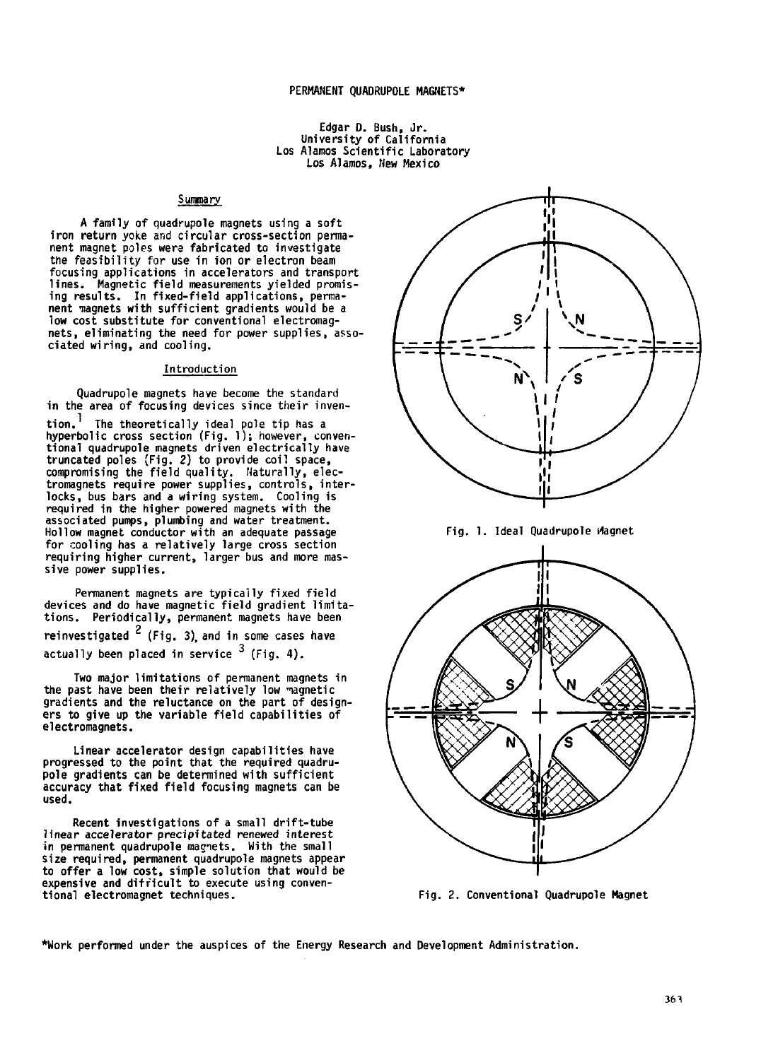# **Edgar- D. Bush, Jr. University of California Los Alamos Scientific Laboratory Los Alamos, New Mexico**

## **Summary**

**A family of quadrupole magnets using a soft iron return yoke and circular cross-section permanent magnet poles were fabricated to investigate the feasibility for use in ion or electron beam focusing applications in accelerators and transport lines. Magnetic field measurements yielded promising results. In fixed-field applications, permanent iiagnets with sufficient gradients would be a low cost substitute for conventional electromagnets, eliminating the need for power supplies, asso-ciated wiring, and cooling.**

## **Introduction**

**Quadrupole magnets have become the standard** in the area of focusing devices since their inven-<br>tion.<sup>1</sup> The theoretically ideal pole tip has a **tion.** The theoretically ideal pole tip has a<br>hyperbolic cross section (Fig. 1); however, conven**tional quadrupole magnets driven electrically have truncated poles (Fig. 2) to provide coil space, compromising the field quality. Naturally, electromagnets require power supplies, controls, interlocks, bus bars and a wiring system. Cooling is required in the higher powered magnets with the associated pumps, plumbing and water treatment. Hollow magnet conductor with an adequate passage for cooling has a relatively large cross section requiring higher current, larger bus and more massive power supplies.**

**Permanent magnets are typically fixed field devices and do have magnetic field gradient limita-tions. Periodically, permanent magnets have been reinvestigated (Fig. 3), and in some cases have actually been placed in service**  $\frac{3}{7}$  **(Fig. 4).** 

**Two major limitations of permanent magnets in the past have been their relatively low magnetic gradients and the reluctance on the part of designers to give up the variable field capabilities of electromagnets.**

**Linear accelerator design capabilities have progressed to the point that the required quadrupole gradients can be determined with sufficient accuracy that fixed field focusing magnets can be used.**

**Recent investigations of a small drift-tube linear accelerator precipitated renewed interest in permanent quadrupole magnets. With the small size required, permanent quadrupole magnets appear to offer a low cost, simple solution that would be expensive and difficult to execute using conventional electromagnet techniques.**



**Fig. 1. Ideal Quadrupole Magnet**



**Fig. 2. Conventional Quadrupole Magnet**

**\*Work performed under the auspices of the Energy Research and Development Administration.**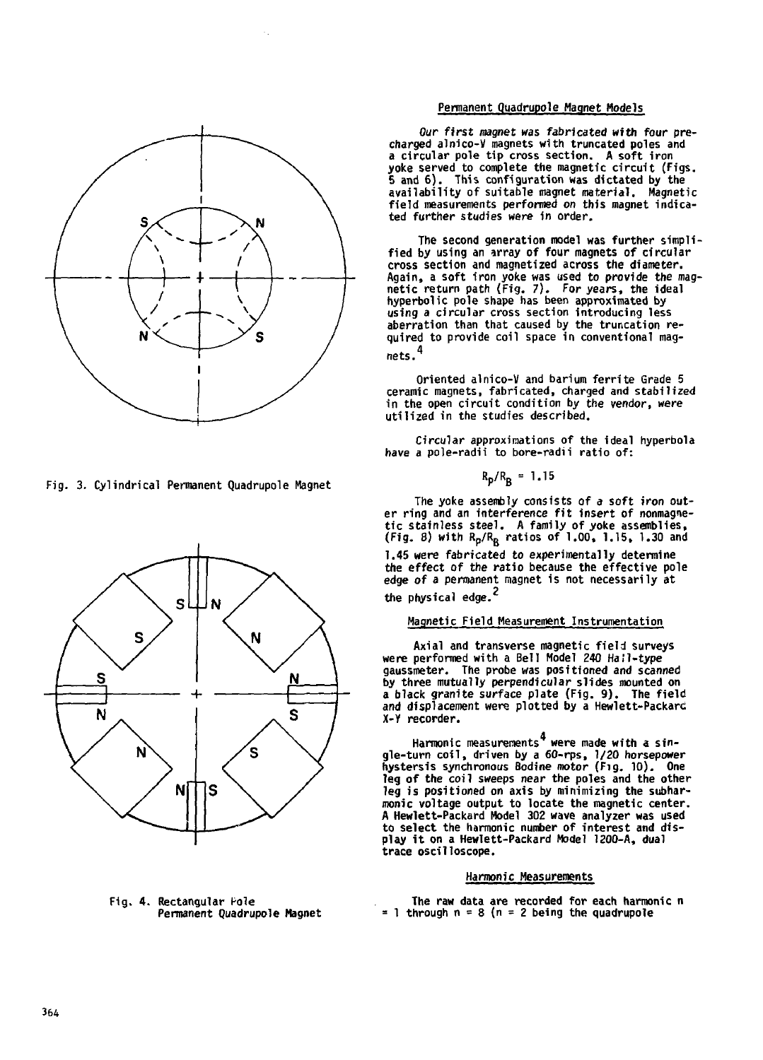

**Fig. 3. Cylindrical Permanent Quadrupole Magnet**



**Fig. 4. Rectangular Pole Permanent Quadrupole Magnet**

## **Permanent Quadrupole Magnet Models**

**Our first magnet was fabricated with four precharged alnico-V magnets with truncated poles and a circular pole tip cross section. A soft iron yoke served to complete the magnetic circuit (Figs. 5 and 6). This configuration was dictated by the availability of suitable magnet material. Magnetic field measurements performed on this magnet indicated further studies were in order.**

**The second generation model was further simplified by using an array of four magnets of circular cross section and magnetized across the diameter. Again, a soft iron yoke was used to provide the mag-netic return path (Fig. 7). For years, the ideal hyperbolic pole shape has been approximated by** aberration than that caused by the truncation re**aberration than that caused by the truncation re-quired to provide coil space in conventional magnets. <sup>4</sup>**

**Oriented alnico-V and barium ferrite Grade 5 ceramic magnets, fabricated, charged and stabilized in the open circuit condition by the vendor, were utilized in the studies described.**

**Circular approximations of the ideal hyperbola have a pole-radii to bore-radii ratio of:**

$$
R_{\rm p}/R_{\rm R} = 1.15
$$

**The yoke assembly consists of a soft iron out**er ring and an interference fit insert of nonmagne**tic stainless steel. A family of yoke assemblies, (Fig. 8) with Rp/Rg ratios of 1.00, 1.15, 1.30 and 1.45 were fabricated to experimentally determine the effect of the ratio because the effective pole edge of a permanent magnet is not necessarily at the physical edge.**

# **Magnetic Field Measurement Instrumentation**

**Axial and transverse magnetic field surveys were performed with a Bell Model 240 Hall-type gaussmeter. The probe was positioned and scanned by three mutually perpendicular slides mounted on a black granite surface plate (Fig. 9). The field and displacement were plotted by a Hewiett-Packarc X-Y recorder.**

**Harmonic measurements were made with a sin-gle-turn coil , driven by a 60-rps, 1/20 horsepower hystersis synchronous Bodine motor (Fig. 10). One leg of the coil sweeps near the poles and the other leg is positioned on axis by minimizing the subharraonic voltage output to locate the magnetic center. A Hewlett-Packard Model 302 wave analyzer was used to select the harmonic number of interest and display i t on a Hewlett-Packard Model 1200-A, dual trace oscilloscope.**

#### **Harmonic Measurements**

**The raw data are recorded for each harmonic n = 1 through n = 8 (n = 2 being the quadrupole**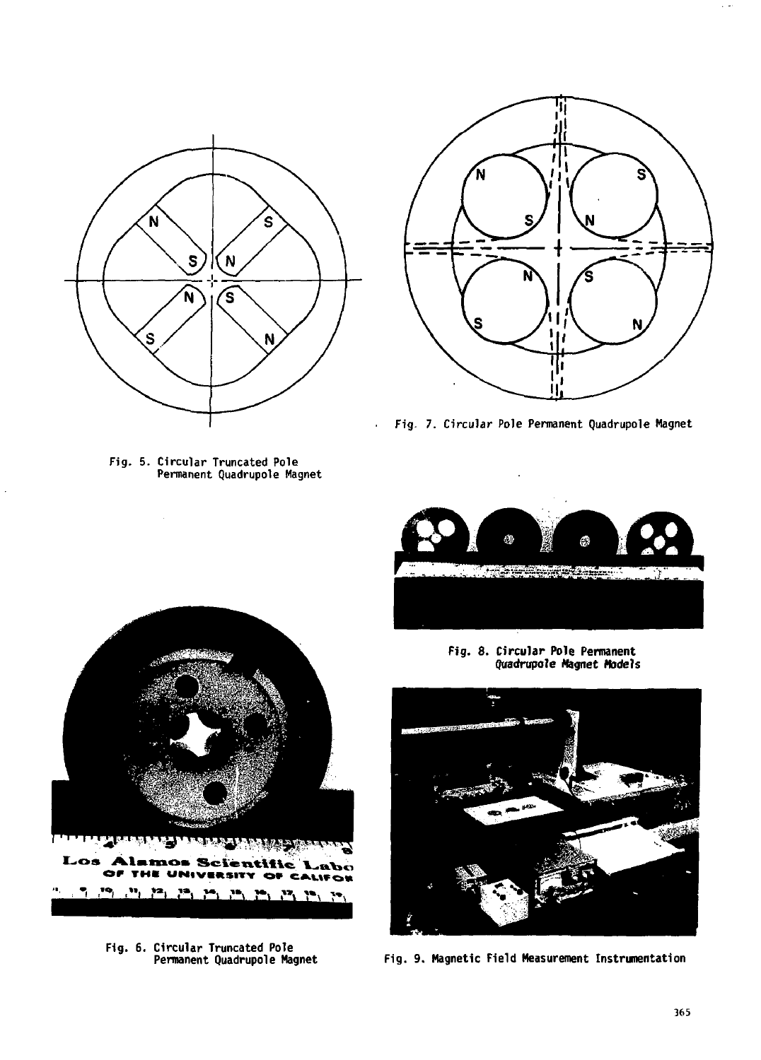

Fig. 5. Circular Truncated Pole Permanent Quadrupole Magnet



Fig. 7. Circular Pole Permanent Quadrupole Magnet



**Fig. 8. Circular Pole Permanent** Quadruple **Magnet Models**



**Fig. 9. Magnetic Field Measurement Instrumentation**



**F1g. 6. Circular Truncated Pole Permanent Quadrupole Magnet**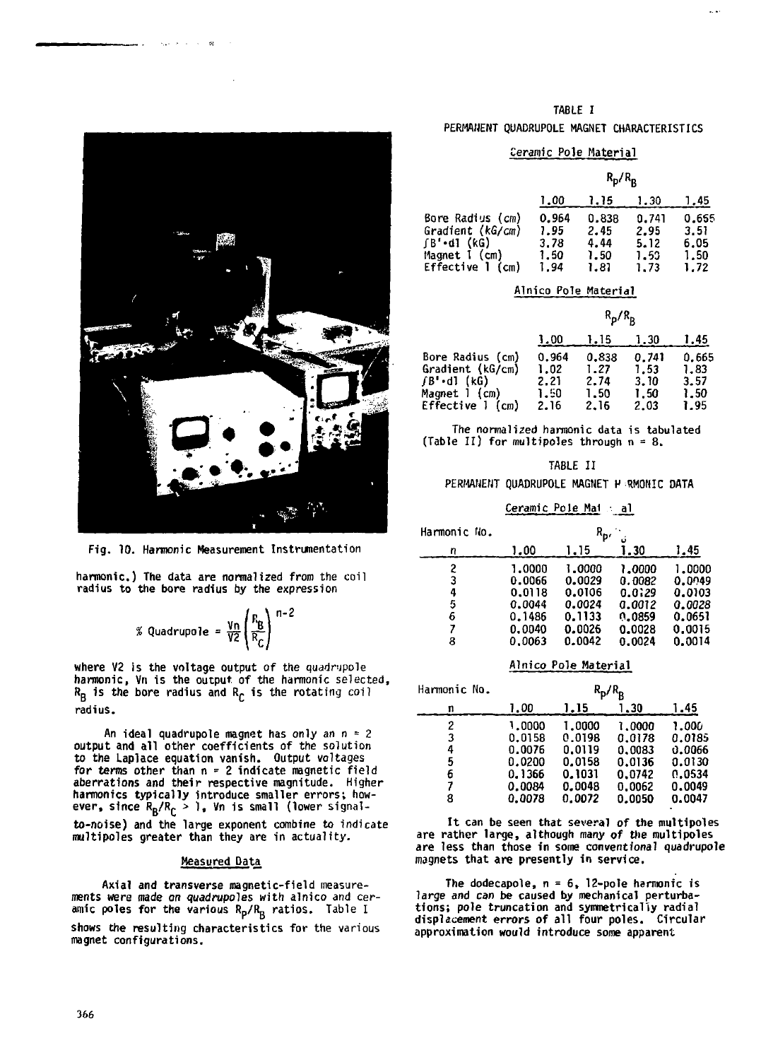

**Service** 

**Fig. 10. Harmonic Measurement Instrumentation**

**harmonic.) The data are normalized from the coil radius to the bore radius by the expression**

$$
\% \text{ Quadrupole} = \frac{\nu_n}{V^2} \left( \frac{R_B}{R_C} \right)^{n-2}
$$

**where V2 is the voltage output of the quadripole harmonic, Vn is the output of the harmonic selected, RB is the bore radius and Rc is the rotating coil radius.**

An ideal quadrupole magnet has only an  $n = 2$ output and all other coefficients of the solution to the Laplace equation vanish. Output voltages for terms other than n = 2 indicate magnetic field aberrations and their respective magnitude. Higher harmonics typically introduce smaller errors; how-<br>ever, since R<sub>B</sub>/R<sub>C</sub> > 1, Vn is small (lower signalto-noise) and the large exponent combine to indicate multipoles greater than they are in actuality.

### **Measured Data**

Axial and transverse magnetic-field measurements were made on quadrupoles with alnico and cer-<br>amic poles for the various R<sub>D</sub>/R<sub>D</sub> ratios. Table I shows the resulting characteristics for the various magnet configurations.

#### TABLE I

### PERMANENT QUADRUPOLE MAGNET CHARACTERISTICS

# Ceramic Pole Haterial

 $\sim$   $\sim$ 

|                                                                                             | $\kappa_{\rm p}/\kappa_{\rm R}$       |                                       |                                       |                                       |
|---------------------------------------------------------------------------------------------|---------------------------------------|---------------------------------------|---------------------------------------|---------------------------------------|
|                                                                                             | 1.00                                  | 1. 15                                 | 1.30                                  | 1.45                                  |
| Bore Radius (cm)<br>Gradient (kG/cm)<br>∫B'•d1 (kG)<br>Magnet I (cm)<br>Effective 1<br>(cm) | 0.964<br>1.95<br>3.78<br>1.50<br>1.94 | 0.838<br>2.45<br>4.44<br>1.50<br>1.81 | 0.741<br>2.95<br>5.12<br>1.53<br>1.73 | 0.655<br>3.51<br>6.05<br>1.50<br>1.72 |

# Alnico Pole Material

|                                                                                            | $R_p/R_p$                             |                                       |                                       |                                       |
|--------------------------------------------------------------------------------------------|---------------------------------------|---------------------------------------|---------------------------------------|---------------------------------------|
|                                                                                            | 1,00                                  | 1.15                                  | 1.30                                  | 1,45                                  |
| Bore Radius (cm)<br>Gradient (kG/cm)<br>∫B'•dl (kG)<br>Magnet 1 (cm)<br>Effective 1<br>(m) | 0.964<br>1.02<br>2.21<br>1.50<br>2.16 | 0.838<br>1.27<br>2.74<br>1.50<br>2.16 | 0.741<br>1.53<br>3.10<br>1.50<br>2.03 | 0.665<br>1.83<br>3.57<br>1.50<br>1.95 |

The normalized harmonic data is tabulated (Table II) for multipoles through  $n = 8$ .

| TABLE |  |  |
|-------|--|--|
|-------|--|--|

PERMANENT QUADRUPOLE MAGNET H RMOHIC DATA Ceramic Pole Mai · al

| Harmonic No. |        | $R_{\rm p}$ | o      |        |
|--------------|--------|-------------|--------|--------|
| n            | 1.00   | 1.15        | 1.30   | 1.45   |
| 2            | 1.0000 | 1.0000      | 1.0000 | 1.0000 |
| 3            | 0.0066 | 0.0029      | 0.0082 | 0.0049 |
| 4            | 0.0118 | 0.0106      | 0.0129 | 0.0103 |
| 5            | 0.0044 | 0.0024      | 0.0012 | 0.0028 |
| 6            | 0.1486 | 0.1133      | 0.0859 | 0.0651 |
| 7            | 0.0040 | 0.0026      | 0.0028 | 0.0015 |
| 8            | 0.0063 | 0.0042      | 0.0024 | 0.0014 |

# Alnico Pole Material

| Harmonic No. | $R_p/R_p$ |        |        |        |
|--------------|-----------|--------|--------|--------|
| n            | 1.00      | 1.15   | 1.30   | 1.45   |
| 2            | 1.0000    | 1.0000 | 1.0000 | 1.000  |
| 3            | 0.0158    | 0.0198 | 0.0178 | 0.0185 |
| 4            | 0.0076    | 0.0119 | 0.0083 | 0.0066 |
| 5            | 0.0200    | 0.0158 | 0.0136 | 0.0130 |
| 6            | 0.1366    | 0.1031 | 0.0742 | 0.0534 |
|              | 0.0084    | 0.0048 | 0.0062 | 0.0049 |
| 8            | 0.0078    | 0.0072 | 0.0050 | 0.0047 |

It can be seen that several of the multipoles are rather large, although many of the multipoles are less than those in some conventional quadrupole magnets that are presently in service.

The dodecapole, n = 6, 12-pole harmonic is large and can be caused by mechanical perturbations; pole truncation and symmetrically radial displacement errors of all four poles. Circular approximation would introduce some apparent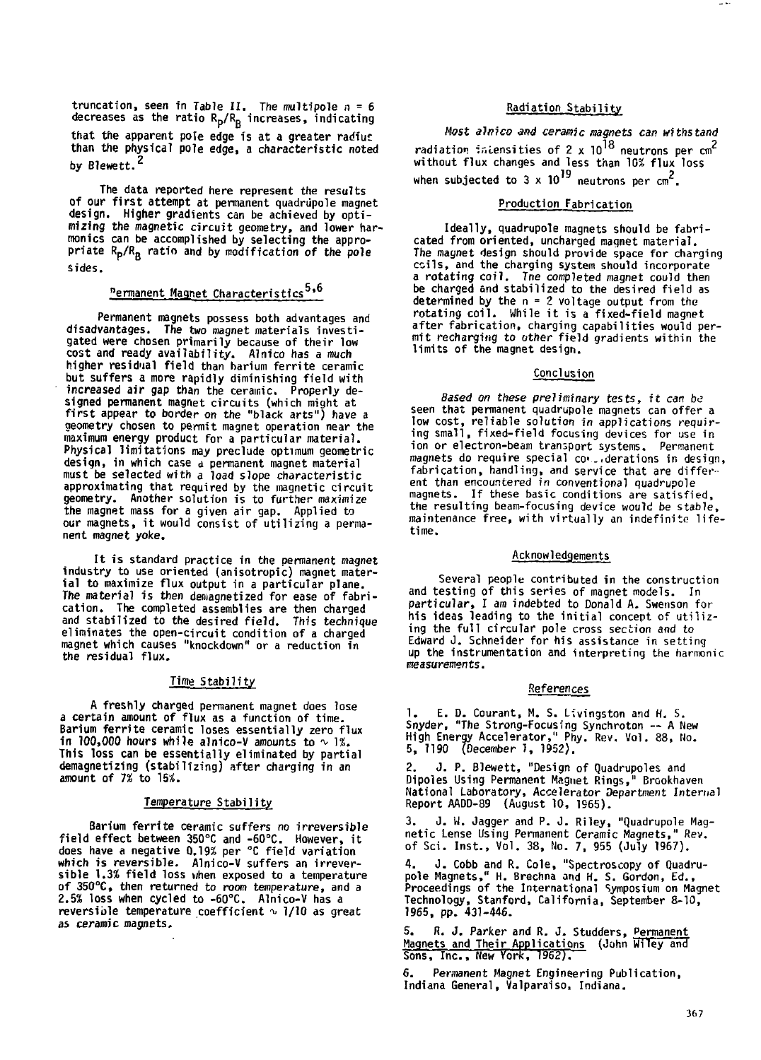truncation, seen in Table II. The multipole  $n=6$ <br>decreases as the ratio R<sub>D</sub>/R<sub>R</sub> increases, indicating that the apparent pole edge is at a greater radius than the physical pole edge, a characteristic noted by Blewett.<sup>2</sup>

The data reported here represent the results of our first attempt at permanent quadrupole magnet design. Higher gradients can be achieved by optimizing the magnetic circuit geometry, and lower harmonics can be accomplished by selecting the appro-<br>priate R<sub>p</sub>/R<sub>B</sub> ratio and by modification of the pole sides.

# <sup>n</sup>ermanent Magnet Characteristics<sup>5,6</sup>

Permanent magnets possess both advantages and disadvantages. The two magnet materials investigated were chosen primarily because of their low cost and ready availability. Alnico has a much higher residual field than barium ferrite ceramic but suffers a more rapidly diminishing field with increased air gap than the ceramic. Properly designed permanent magnet circuits (which might at first appear to border on the "black arts") have a geometry chosen to permit magnet operation near the maximum energy product for a particular material. Physical limitations may preclude optimum geometric design, in which case d permanent magnet material must be selected with a load slope characteristic approximating that required by the magnetic circuit geometry. Another solution is to further maximize the magnet mass for a given air gap. Applied to our magnets, i t would consist of utilizing a permanent magnet yoke.

It is standard practice in the permanent magnet industry to use oriented (anisotropic) magnet material to maximize flux output in a particular plane. The material is then demagnetized for ease of fabrication. The completed assemblies are then charged and stabilized to the desired field. This technique eliminates the open-circuit condition of a charged magnet which causes "knockdown" or a reduction in the residual flux.

#### Time Stability

A freshly charged permanent magnet does lose a certain amount of flux as a function of time. Barium ferrite ceramic loses essentially zero flux in 100,000 hours while alnico-V amounts to  $\sim 1\%$ . This loss can be essentially eliminated by partial demagnetizing (stabilizing) after charging in an amount of 7% to 15%.

#### Temperature Stability

Barium ferrite ceramic suffers no irreversible field effect between 350°C and -60°C. However, i t does have a negative 0.19% per °C field variation which is reversible. Alnico-V suffers an irrever-sible 1.3% field loss when exposed to a temperature of 350°C, then returned to room temperature, and a 2.5% loss when cycled to -60°C. Alnico-V has a reversible temperature coefficient  $\sim$  1/10 as great as ceramic magnets.

## Radiation Stability

**Contract** 

Host alnico and ceramic magnets can withstand radiation intensities of 2 x 10<sup>18</sup> neutrons per cm<sup>2</sup><br>without flux changes and less than 10% flux loss<br>. when subjected to  $3 \times 10^{19}$  neutrons per  $cm^2$ 

## when subjected to 3 x 10 neutrons per cm . Production Fabrication

Ideally, quadrupole magnets should be fabricated from oriented, uncharged maqnet material. The magnet design should provide space for charging coils, and the charging system should incorporate a rotating coil. Tne completed magnet could then be charged and stabilized to the desired field as determined by the n = 2 voltage output from the rotating coil. While it is a fixed-field magnet after fabrication, charging capabilities would per-mit recharging to other field gradients within the limits of the magnet design.

### **Conclusion**

Based on these preliminary tests, ft can be seen that permanent quadrupole magnets can offer a low cost, reliable solution in applications requiring small, fixed-field focusing devices for use In ion or electron-beam transport systems. Permanent magnets do require special co-..derations in design, fabrication, handling, and service that are different than encountered in conventional quadrupole magnets. If these basic conditions are satisfied, the resulting beam-focusing device would be stable, maintenance free, with virtually an indefinite lifetime.

#### Acknowledgements

Several people contributed in the construction and testing of this series of magnet models. In particular, I am indebted to Donald A. Swenson for his ideas leading to the initial concept of utilizing the full circular pole cross section and to Edward J. Schneider for his assistance in setting up the instrumentation and interpreting the harmonic measurements.

#### References

E. D. Courant, M. S. Livingston and H. S. Snyder, "The Strong-Focusing Synchroton — A New High Energy Accelerator," Phy. Rev. Vol. 88, No. 5, 1190 (December 1, 1952).

2. J. P. Blewett, "Design of Quadrupoles and Dipoles Using Permanent Magnet Rings," Brookhaven National Laboratory, Accelerator Department Internal Report AADD-89 (August 10, 1965).

3. J. W. Jagger and P. J. Riley, "Quadrupole Mag-netic Lense Using Permanent Ceramic Magnets," Rev. of Sci. Inst., Vol. 38, No. 7, 955 (July 1967).

4. J. Cobb and R. Cole, "Spectroscopy of Quadrupole Magnets," H. Brechna and H. S. Gordon, Ed., Proceedings of the International Symposium on Magnet Technology, Stanford, California, September 8-10, 1965, pp. 431-446.

R. J. Parker and R. J. Studders, Permanent Magnets and Their Applications (John Wiley and Sons, Inc., Hew York, 1962).

6. Permanent Magnet Engineering Publication, Indiana General, Valparaiso, Indiana.